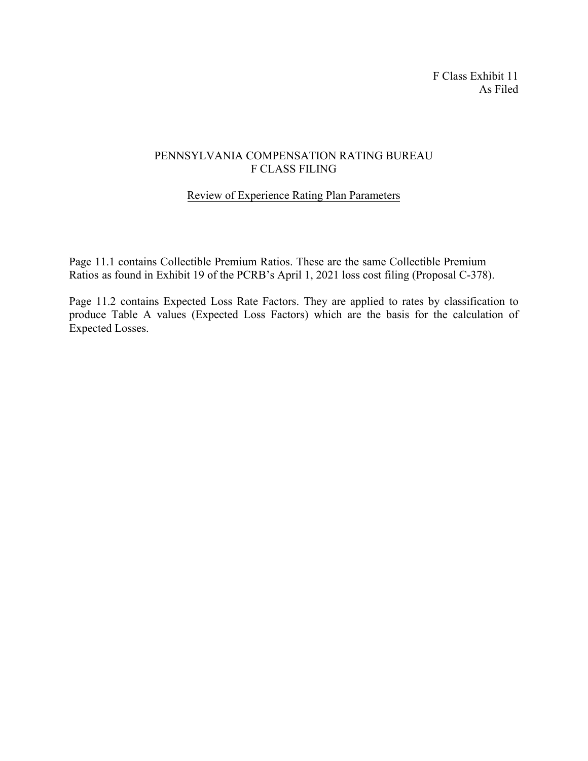F Class Exhibit 11 As Filed

## PENNSYLVANIA COMPENSATION RATING BUREAU F CLASS FILING

## Review of Experience Rating Plan Parameters

Page 11.1 contains Collectible Premium Ratios. These are the same Collectible Premium Ratios as found in Exhibit 19 of the PCRB's April 1, 2021 loss cost filing (Proposal C-378).

Page 11.2 contains Expected Loss Rate Factors. They are applied to rates by classification to produce Table A values (Expected Loss Factors) which are the basis for the calculation of Expected Losses.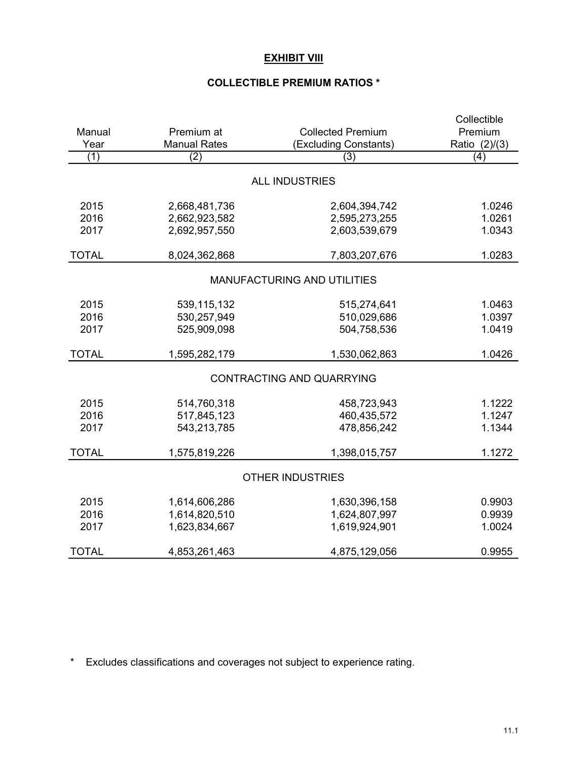# **EXHIBIT VIII**

# COLLECTIBLE PREMIUM RATIOS \*

|                                    |                                | <b>Collected Premium</b> | Collectible   |  |  |  |  |  |  |
|------------------------------------|--------------------------------|--------------------------|---------------|--|--|--|--|--|--|
| Manual                             | Premium at                     | Premium                  |               |  |  |  |  |  |  |
| Year                               | <b>Manual Rates</b>            | (Excluding Constants)    | Ratio (2)/(3) |  |  |  |  |  |  |
| (1)                                | (2)                            | (3)                      | (4)           |  |  |  |  |  |  |
| <b>ALL INDUSTRIES</b>              |                                |                          |               |  |  |  |  |  |  |
| 2015                               | 2,668,481,736<br>2,604,394,742 |                          | 1.0246        |  |  |  |  |  |  |
| 2016                               | 2,662,923,582                  | 2,595,273,255            | 1.0261        |  |  |  |  |  |  |
| 2017                               | 2,692,957,550                  | 2,603,539,679            | 1.0343        |  |  |  |  |  |  |
| <b>TOTAL</b>                       | 8,024,362,868                  | 7,803,207,676            | 1.0283        |  |  |  |  |  |  |
| <b>MANUFACTURING AND UTILITIES</b> |                                |                          |               |  |  |  |  |  |  |
| 2015                               | 539,115,132                    | 515,274,641              | 1.0463        |  |  |  |  |  |  |
| 2016                               | 530,257,949                    | 510,029,686              | 1.0397        |  |  |  |  |  |  |
| 2017                               | 525,909,098                    | 504,758,536              | 1.0419        |  |  |  |  |  |  |
| <b>TOTAL</b>                       | 1,595,282,179                  | 1,530,062,863            | 1.0426        |  |  |  |  |  |  |
| <b>CONTRACTING AND QUARRYING</b>   |                                |                          |               |  |  |  |  |  |  |
| 2015                               | 514,760,318                    | 458,723,943              | 1.1222        |  |  |  |  |  |  |
| 2016                               | 517,845,123                    | 460,435,572              | 1.1247        |  |  |  |  |  |  |
| 2017                               | 543,213,785                    | 478,856,242              | 1.1344        |  |  |  |  |  |  |
| <b>TOTAL</b>                       | 1,575,819,226                  | 1,398,015,757            | 1.1272        |  |  |  |  |  |  |
| <b>OTHER INDUSTRIES</b>            |                                |                          |               |  |  |  |  |  |  |
| 2015                               | 1,614,606,286                  | 1,630,396,158            | 0.9903        |  |  |  |  |  |  |
| 2016                               | 1,614,820,510                  | 1,624,807,997            | 0.9939        |  |  |  |  |  |  |
| 2017                               | 1,623,834,667                  | 1,619,924,901            | 1.0024        |  |  |  |  |  |  |
| <b>TOTAL</b>                       | 4,853,261,463                  | 4,875,129,056            | 0.9955        |  |  |  |  |  |  |

\* Excludes classifications and coverages not subject to experience rating.